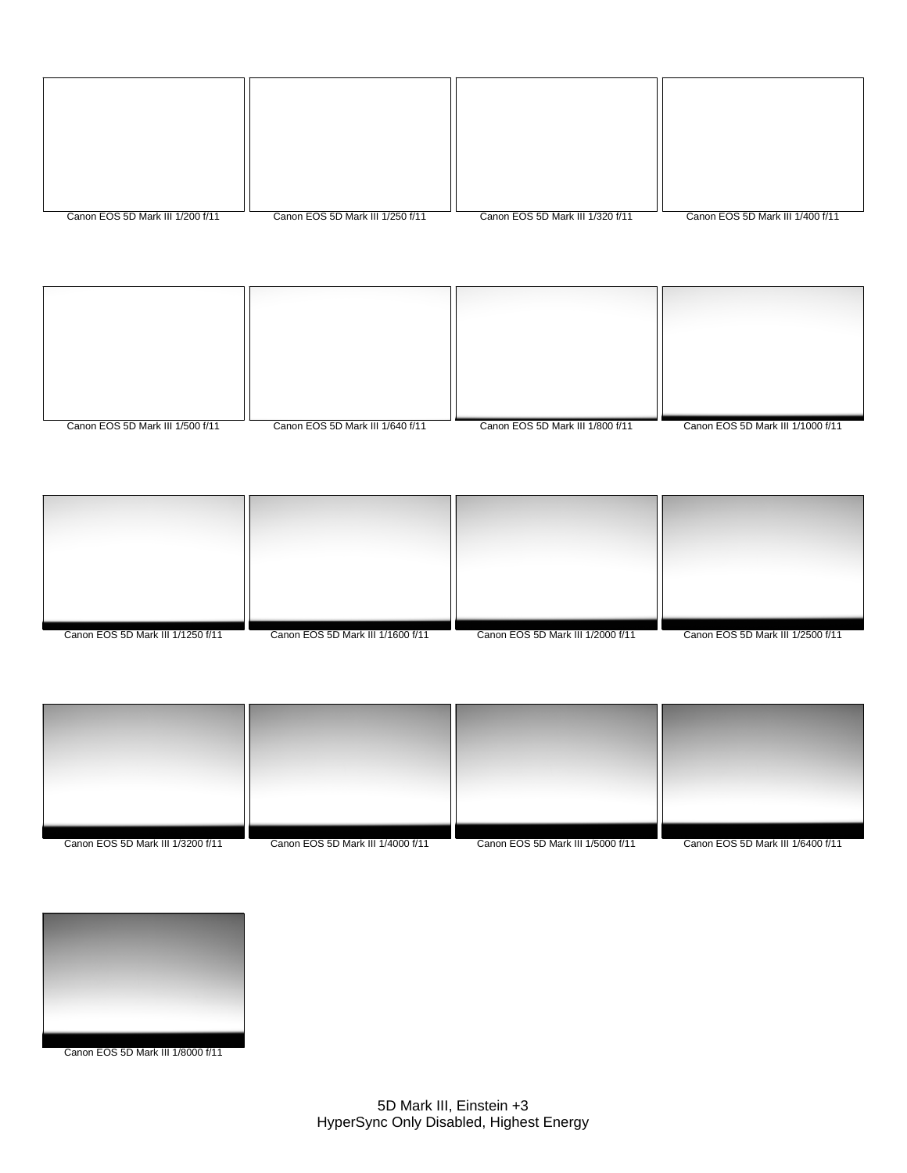| Canon EOS 5D Mark III 1/200 f/11 | Canon EOS 5D Mark III 1/250 f/11 | Canon EOS 5D Mark III 1/320 f/11 | Canon EOS 5D Mark III 1/400 f/11 |
|----------------------------------|----------------------------------|----------------------------------|----------------------------------|









Canon EOS 5D Mark III 1/8000 f/11